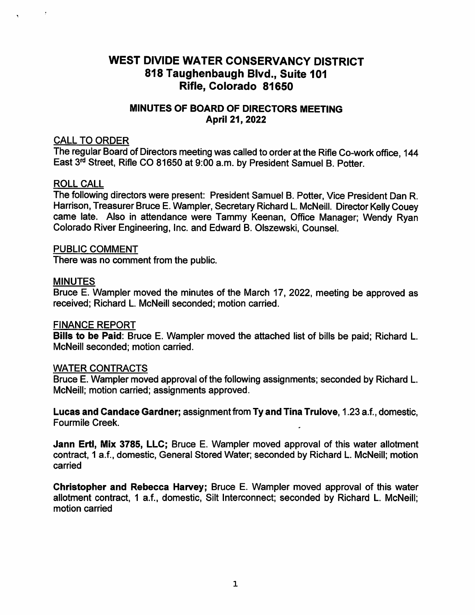# WEST DIVIDE WATER CONSERVANCY DISTRICT 818 Taughenbaugh Blvd., Suite 101 Rifle, Colorado 81650

## MINUTES OF BOARD OF DIRECTORS MEETING April 21, 2022

#### CALL TO ORDER

The regular Board of Directors meeting was called to order at the Rifle Co-work office, 144 East 3<sup>rd</sup> Street, Rifle CO 81650 at 9:00 a.m. by President Samuel B. Potter.

#### ROLL CALL

The following directors were present: President Samuel B. Potter, Vice President Dan R. Harrison, Treasurer Bruce E. Wampler, Secretary Richard L. McNeill. Director Kelly Couey came late. Also in attendance were Tammy Keenan, Office Manager; Wendy Ryan Colorado River Engineering, Inc. and Edward B. Olszewski, Counsel.

#### PUBLIC COMMENT

There was no comment from the public.

#### MINUTES

Bruce E. Wampler moved the minutes of the March 17, 2022, meeting be approved as received; Richard L. McNeill seconded; motion carried.

#### FINANCE REPORT

Bills to be Paid: Bruce E. Wampler moved the attached list of bills be paid; Richard L. McNeill seconded; motion carried.

#### WATER CONTRACTS

Bruce E. Wampler moved approval of the following assignments; seconded by Richard L. McNeill; motion carried; assignments approved.

Lucas and Candace Gardner; assignment from Ty and Tina Trulove, 1.23 a.f., domestic, Fourmlle Creek.

Jann Ertl, Mix 3785, LLC; Bruce E. Wampler moved approval of this water allotment contract, 1 a.f., domestic. General Stored Water; seconded by Richard L. McNeill; motion carried

Christopher and Rebecca Harvey; Bruce E. Wampler moved approval of this water allotment contract, 1 a.f., domestic. Silt Interconnect; seconded by Richard L. McNeill; motion carried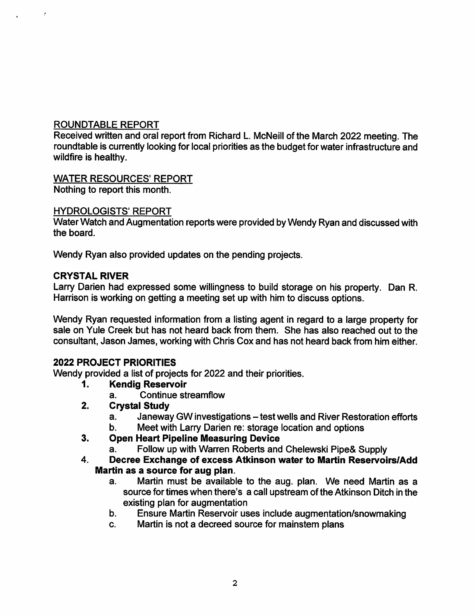# ROUNDTABLE REPORT

Received written and oral report from Richard L. McNeill of the March 2022 meeting. The roundtable is currently looking for local priorities as the budget for water infrastructure and wildfire is healthy.

## WATER RESOURCES' REPORT

Nothing to report this month.

#### HYDROLOGISTS' REPORT

Water Watch and Augmentation reports were provided by Wendy Ryan and discussed with the board.

Wendy Ryan also provided updates on the pending projects.

#### CRYSTAL RIVER

Larry Darien had expressed some willingness to build storage on his property. Dan R. Harrison is working on getting a meeting set up with him to discuss options.

Wendy Ryan requested information from a listing agent in regard to a large property for sale on Yule Creek but has not heard back from them. She has also reached out to the consultant, Jason James, working with Chris Cox and has not heard back from him either.

## 2022 PROJECT PRIORITIES

Wendy provided a list of projects for 2022 and their priorities.

- Kendig Reservoir 1.
	- Continue streamflow a.

### 2. Crystal Study

- Janeway GW investigations test wells and River Restoration efforts a.
- Meet with Larry Darien re: storage location and options b.
- Open Heart Pipeline Measuring Device 3.
	- Follow up with Warren Roberts and Chelewski Pipe& Supply a.
- Decree Exchange of excess Atkinson water to Martin Reservoirs/Add Martin as a source for aug plan. 4.
	- Martin must be available to the aug. plan. We need Martin as a source for times when there's a call upstream of the Atkinson Ditch in the existing plan for augmentation a.
	- Ensure Martin Reservoir uses include augmentation/snowmaking b.
	- Martin is not a decreed source for mainstem plans c.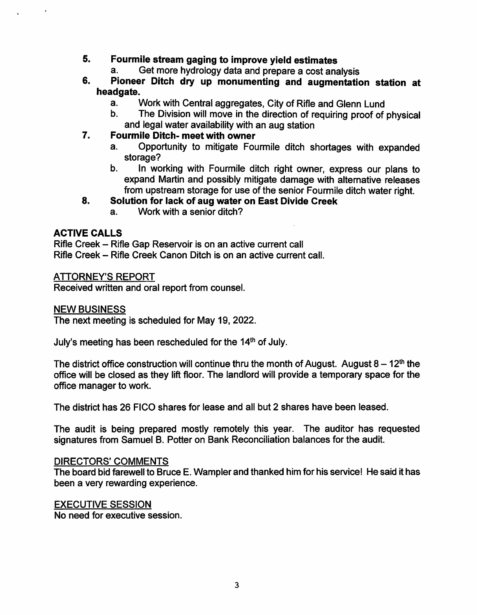# 5. Fourmile stream gaging to improve yield estimates<br>a. Get more hydrology data and prepare a cost analysis

- Get more hydrology data and prepare a cost analysis a.
- Pioneer Ditch dry up monumenting and augmentation station at headgate. 6.
	- Work with Central aggregates, City of Rifle and Glenn Lund a.
	- The Division will move in the direction of requiring proof of physical and legal water availability with an aug station b.

#### Fourmile Ditch- meet with owner 7.

- Opportunity to mitigate Fourmile ditch shortages with expanded storage? a.
- In working with Fourmile ditch right owner, express our plans to expand Martin and possibly mitigate damage with alternative releases from upstream storage for use of the senior Fourmile ditch water right. b.

#### Solution for lack of aug water on East Divide Creek 8.

Work with a senior ditch? a.

#### ACTIVE CALLS

Rifle Creek - Rifle Gap Reservoir is on an active current call Rifle Creek - Rifle Creek Canon Ditch is on an active current call.

#### ATTORNEY'S REPORT

Received written and oral report from counsel.

#### NEW BUSINESS

The next meeting is scheduled for May 19, 2022.

July's meeting has been rescheduled for the  $14<sup>th</sup>$  of July.

The district office construction will continue thru the month of August. August  $8 - 12<sup>th</sup>$  the office will be closed as they lift floor. The landlord will provide a temporary space for the office manager to work.

The district has 26 FICO shares for lease and all but 2 shares have been leased.

The audit is being prepared mostly remotely this year. The auditor has requested signatures from Samuel B. Potter on Bank Reconciliation balances for the audit.

#### DIRECTORS' COMMENTS

The board bid farewell to Bruce E. Wampler and thanked him for his service! He said it has been a very rewarding experience.

#### EXECUTIVE SESSION

No need for executive session.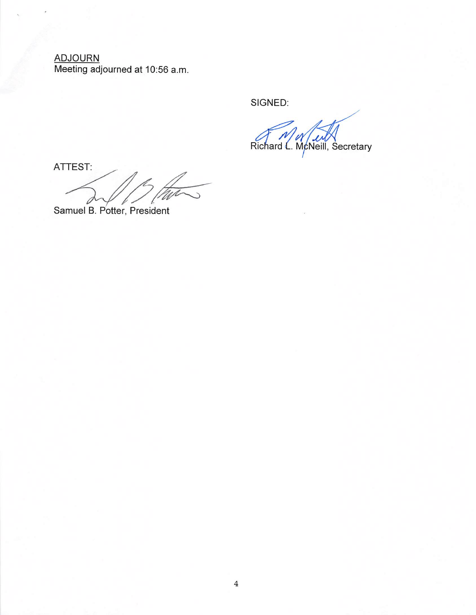ADJOURN Meeting adjourned at 10:56 a.m.

SIGNED:

Richard L. McNeill, Secretary

ATTEST:

Samuel B. Potter, President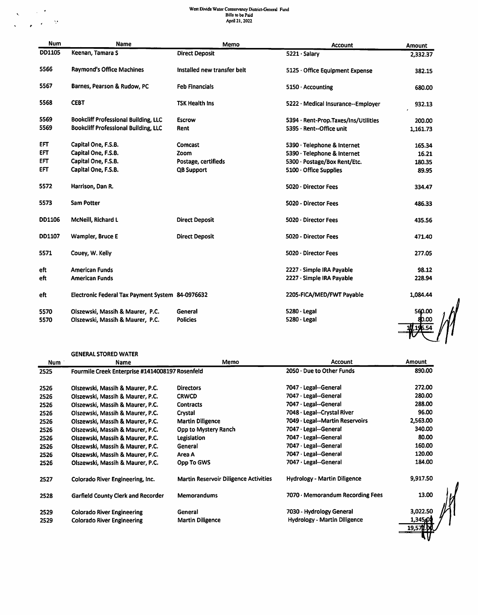# West Divide Water Conservancy District-General Fund<br>Bills to be Paid<br>April 21, 2022

| <b>Num</b> | <b>Name</b>                                      | Memo                        | <b>Account</b>                       | Amount                   |
|------------|--------------------------------------------------|-----------------------------|--------------------------------------|--------------------------|
| DD1105     | Keenan, Tamara S                                 | <b>Direct Deposit</b>       | 5221 · Salary                        | 2,332.37                 |
| 5566       | <b>Raymond's Office Machines</b>                 | Installed new transfer belt | 5125 · Office Equipment Expense      | 382.15                   |
| 5567       | Barnes, Pearson & Rudow, PC                      | <b>Feb Financials</b>       | $5150 \cdot$ Accounting              | 680.00                   |
| 5568       | <b>CEBT</b>                                      | <b>TSK Health Ins</b>       | 5222 · Medical Insurance--Employer   | 932.13                   |
| 5569       | <b>Bookcliff Professional Building, LLC</b>      | Escrow                      | 5394 · Rent-Prop.Taxes/Ins/Utilities | 200.00                   |
| 5569       | <b>Bookcliff Professional Building, LLC</b>      | Rent                        | 5395 · Rent--Office unit             | 1,161.73                 |
| <b>EFT</b> | Capital One, F.S.B.                              | Comcast                     | 5390 · Telephone & Internet          | 165.34                   |
| <b>EFT</b> | Capital One, F.S.B.                              | Zoom                        | 5390 · Telephone & Internet          | 16.21                    |
| EFT        | Capital One, F.S.B.                              | Postage, certifieds         | 5300 · Postage/Box Rent/Etc.         | 180.35                   |
| EFT        | Capital One, F.S.B.                              | <b>QB Support</b>           | $5100 \cdot$ Office Supplies         | 89.95                    |
| 5572       | Harrison, Dan R.                                 |                             | $5020 \cdot$ Director Fees           | 334.47                   |
| 5573       | <b>Sam Potter</b>                                |                             | 5020 - Director Fees                 | 486.33                   |
| DD1106     | McNeill, Richard L                               | <b>Direct Deposit</b>       | 5020 · Director Fees                 | 435.56                   |
| DD1107     | Wampler, Bruce E                                 | <b>Direct Deposit</b>       | 5020 - Director Fees                 | 471.40                   |
| 5571       | Couey, W. Kelly                                  |                             | 5020 · Director Fees                 | 277.05                   |
| eft        | <b>American Funds</b>                            |                             | 2227 · Simple IRA Payable            | 98.12                    |
| eft        | <b>American Funds</b>                            |                             | 2227 · Simple IRA Payable            | 228.94                   |
| eft        | Electronic Federal Tax Payment System 84-0976632 |                             | 2205-FICA/MED/FWT Payable            | 1.084.44                 |
| 5570       | Olszewski, Massih & Maurer, P.C.                 | General                     | $5280 \cdot$ Legal                   | 560.00                   |
| 5570       | Olszewski, Massih & Maurer, P.C.                 | <b>Policies</b>             | 5280 · Legal                         | 80.00                    |
|            |                                                  |                             |                                      | $1H$ $1d$ <sub>554</sub> |

#### GENERAL STORED WATER

 $\label{eq:2.1} \begin{array}{l} \mathcal{N}=\mathcal{N}^{\frac{1}{2}}\\ \mathcal{N}=\mathcal{N}^{\frac{1}{2}}\\ \mathcal{N}=\mathcal{N}^{\frac{1}{2}}\\ \mathcal{N}=\mathcal{N}^{\frac{1}{2}}\\ \mathcal{N}=\mathcal{N}^{\frac{1}{2}}\\ \mathcal{N}=\mathcal{N}^{\frac{1}{2}}\\ \mathcal{N}=\mathcal{N}^{\frac{1}{2}}\\ \mathcal{N}=\mathcal{N}^{\frac{1}{2}}\\ \mathcal{N}=\mathcal{N}^{\frac{1}{2}}\\ \mathcal{N}=\mathcal{N}^{\frac$ 

| <b>Num</b> | Name                                            | Memo                                         | <b>Account</b>                      | <b>Amount</b>     |
|------------|-------------------------------------------------|----------------------------------------------|-------------------------------------|-------------------|
| 2525       | Fourmile Creek Enterprise #1414008197 Rosenfeld |                                              | 2050 Due to Other Funds             | 890.00            |
| 2526       | Olszewski, Massih & Maurer, P.C.                | <b>Directors</b>                             | 7047 · Legal--General               | 272.00            |
| 2526       | Olszewski, Massih & Maurer, P.C.                | <b>CRWCD</b>                                 | 7047 · Legal--General               | 280.00            |
| 2526       | Olszewski, Massih & Maurer, P.C.                | <b>Contracts</b>                             | 7047 · Legal--General               | 288.00            |
| 2526       | Olszewski, Massih & Maurer, P.C.                | Crystal                                      | 7048 · Legal--Crystal River         | 96.00             |
| 2526       | Olszewski, Massih & Maurer, P.C.                | <b>Martin Diligence</b>                      | 7049 · Legal--Martin Reservoirs     | 2,563.00          |
| 2526       | Olszewski, Massih & Maurer, P.C.                | Opp to Mystery Ranch                         | 7047 · Legal--General               | 340.00            |
| 2526       | Olszewski, Massih & Maurer, P.C.                | Legislation                                  | 7047 · Legal--General               | 80.00             |
| 2526       | Olszewski, Massih & Maurer, P.C.                | General                                      | 7047 · Legal--General               | 160.00            |
| 2526       | Olszewski, Massih & Maurer, P.C.                | Area A                                       | 7047 · Legal--General               | 120.00            |
| 2526       | Olszewski, Massih & Maurer, P.C.                | Opp To GWS                                   | 7047 · Legal--General               | 184.00            |
| 2527       | Colorado River Engineering, Inc.                | <b>Martin Reservoir Diligence Activities</b> | <b>Hydrology - Martin Diligence</b> | 9,917.50          |
| 2528       | <b>Garfield County Clerk and Recorder</b>       | <b>Memorandums</b>                           | 7070 · Memorandum Recording Fees    | 13.00             |
| 2529       | <b>Colorado River Engineering</b>               | General                                      | 7030 - Hydrology General            | 3,022.50          |
| 2529       | <b>Colorado River Engineering</b>               | <b>Martin Diligence</b>                      | <b>Hydrology - Martin Diligence</b> | 1,345,0<br>19,571 |
|            |                                                 |                                              |                                     |                   |